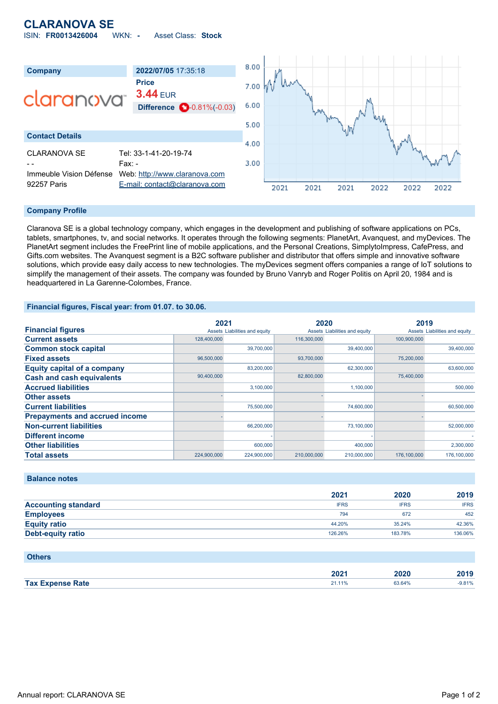# **CLARANOVA SE**

ISIN: **FR0013426004** WKN: **-** Asset Class: **Stock**



#### **Company Profile**

Claranova SE is a global technology company, which engages in the development and publishing of software applications on PCs, tablets, smartphones, tv, and social networks. It operates through the following segments: PlanetArt, Avanquest, and myDevices. The PlanetArt segment includes the FreePrint line of mobile applications, and the Personal Creations, SimplytoImpress, CafePress, and Gifts.com websites. The Avanquest segment is a B2C software publisher and distributor that offers simple and innovative software solutions, which provide easy daily access to new technologies. The myDevices segment offers companies a range of IoT solutions to simplify the management of their assets. The company was founded by Bruno Vanryb and Roger Politis on April 20, 1984 and is headquartered in La Garenne-Colombes, France.

#### **Financial figures, Fiscal year: from 01.07. to 30.06.**

|                                       | 2021        |                               | 2020        |                               | 2019        |                               |
|---------------------------------------|-------------|-------------------------------|-------------|-------------------------------|-------------|-------------------------------|
| <b>Financial figures</b>              |             | Assets Liabilities and equity |             | Assets Liabilities and equity |             | Assets Liabilities and equity |
| <b>Current assets</b>                 | 128,400,000 |                               | 116,300,000 |                               | 100,900,000 |                               |
| <b>Common stock capital</b>           |             | 39,700,000                    |             | 39,400,000                    |             | 39,400,000                    |
| <b>Fixed assets</b>                   | 96,500,000  |                               | 93,700,000  |                               | 75,200,000  |                               |
| <b>Equity capital of a company</b>    |             | 83,200,000                    |             | 62,300,000                    |             | 63,600,000                    |
| <b>Cash and cash equivalents</b>      | 90,400,000  |                               | 82,800,000  |                               | 75,400,000  |                               |
| <b>Accrued liabilities</b>            |             | 3,100,000                     |             | 1,100,000                     |             | 500,000                       |
| <b>Other assets</b>                   |             |                               |             |                               |             |                               |
| <b>Current liabilities</b>            |             | 75,500,000                    |             | 74,600,000                    |             | 60,500,000                    |
| <b>Prepayments and accrued income</b> |             |                               |             |                               |             |                               |
| <b>Non-current liabilities</b>        |             | 66,200,000                    |             | 73,100,000                    |             | 52,000,000                    |
| <b>Different income</b>               |             |                               |             |                               |             |                               |
| <b>Other liabilities</b>              |             | 600,000                       |             | 400,000                       |             | 2,300,000                     |
| <b>Total assets</b>                   | 224,900,000 | 224.900.000                   | 210,000,000 | 210,000,000                   | 176.100.000 | 176.100.000                   |

#### **Balance notes**

|                            | 2021        | 2020        | 2019        |
|----------------------------|-------------|-------------|-------------|
| <b>Accounting standard</b> | <b>IFRS</b> | <b>IFRS</b> | <b>IFRS</b> |
| <b>Employees</b>           | 794         | 672         | 452         |
| <b>Equity ratio</b>        | 44.20%      | 35.24%      | 42.36%      |
| <b>Debt-equity ratio</b>   | 126.26%     | 183.78%     | 136.06%     |

#### **Others**

|                | החר<br>ZUZ | 2020 | $\sim$ |
|----------------|------------|------|--------|
| Tax E.<br>Rate |            | .64% | 9.81%  |